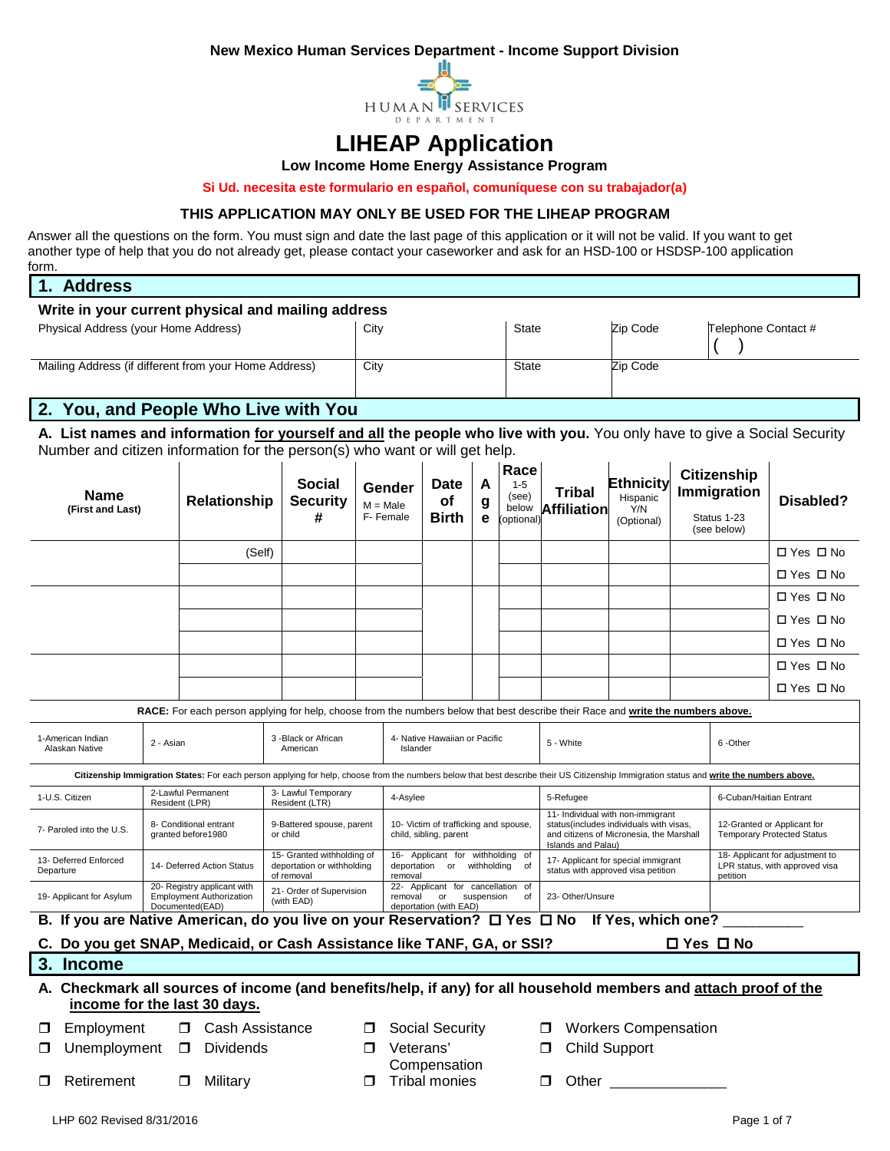**New Mexico Human Services Department - Income Support Division** 



## **LIHEAP Application**

**Low Income Home Energy Assistance Program**

**Si Ud. necesita este formulario en español, comuníquese con su trabajador(a)**

#### **THIS APPLICATION MAY ONLY BE USED FOR THE LIHEAP PROGRAM**

Answer all the questions on the form. You must sign and date the last page of this application or it will not be valid. If you want to get another type of help that you do not already get, please contact your caseworker and ask for an HSD-100 or HSDSP-100 application form.

| $\blacksquare$<br><b>Address</b>                      |      |              |          |                     |  |  |  |
|-------------------------------------------------------|------|--------------|----------|---------------------|--|--|--|
| Write in your current physical and mailing address    |      |              |          |                     |  |  |  |
| Physical Address (your Home Address)                  | City | <b>State</b> | Zip Code | Telephone Contact # |  |  |  |
| Mailing Address (if different from your Home Address) | City | <b>State</b> | Zip Code |                     |  |  |  |

## **2. You, and People Who Live with You**

**A. List names and information for yourself and all the people who live with you.** You only have to give a Social Security Number and citizen information for the person(s) who want or will get help.

| Name<br>(First and Last)                                                                                                                         |                                      |                                              | Relationship                                                   | <b>Social</b><br><b>Security</b><br>#                                                                                                                                                    |                                           | Gender<br>$M = Male$<br>F-Female                                                           | <b>Date</b><br>of<br><b>Birth</b> | A<br>g<br>e | Race<br>$1 - 5$<br>(see)<br>below<br>(optional)                                                                                                                                         | <b>Tribal</b><br><b>Affiliation</b>                                       |         | <b>Ethnicity</b><br>Hispanic<br>Y/N<br>(Optional)                                                                                                                                                                                    | <b>Citizenship</b><br><b>Immigration</b><br>Status 1-23<br>(see below) | Disabled?                                                         |
|--------------------------------------------------------------------------------------------------------------------------------------------------|--------------------------------------|----------------------------------------------|----------------------------------------------------------------|------------------------------------------------------------------------------------------------------------------------------------------------------------------------------------------|-------------------------------------------|--------------------------------------------------------------------------------------------|-----------------------------------|-------------|-----------------------------------------------------------------------------------------------------------------------------------------------------------------------------------------|---------------------------------------------------------------------------|---------|--------------------------------------------------------------------------------------------------------------------------------------------------------------------------------------------------------------------------------------|------------------------------------------------------------------------|-------------------------------------------------------------------|
|                                                                                                                                                  |                                      |                                              | (Self)                                                         |                                                                                                                                                                                          |                                           |                                                                                            |                                   |             |                                                                                                                                                                                         |                                                                           |         |                                                                                                                                                                                                                                      |                                                                        | □ Yes □ No                                                        |
|                                                                                                                                                  |                                      |                                              |                                                                |                                                                                                                                                                                          |                                           |                                                                                            |                                   |             |                                                                                                                                                                                         |                                                                           |         |                                                                                                                                                                                                                                      |                                                                        | □ Yes □ No                                                        |
|                                                                                                                                                  |                                      |                                              |                                                                |                                                                                                                                                                                          |                                           |                                                                                            |                                   |             |                                                                                                                                                                                         |                                                                           |         |                                                                                                                                                                                                                                      |                                                                        | □ Yes □ No                                                        |
|                                                                                                                                                  |                                      |                                              |                                                                |                                                                                                                                                                                          |                                           |                                                                                            |                                   |             |                                                                                                                                                                                         |                                                                           |         |                                                                                                                                                                                                                                      |                                                                        | □ Yes □ No                                                        |
|                                                                                                                                                  |                                      |                                              |                                                                |                                                                                                                                                                                          |                                           |                                                                                            |                                   |             |                                                                                                                                                                                         |                                                                           |         |                                                                                                                                                                                                                                      |                                                                        | □ Yes □ No                                                        |
|                                                                                                                                                  |                                      |                                              |                                                                |                                                                                                                                                                                          |                                           |                                                                                            |                                   |             |                                                                                                                                                                                         |                                                                           |         |                                                                                                                                                                                                                                      |                                                                        | □ Yes □ No                                                        |
|                                                                                                                                                  |                                      |                                              |                                                                |                                                                                                                                                                                          |                                           |                                                                                            |                                   |             |                                                                                                                                                                                         |                                                                           |         |                                                                                                                                                                                                                                      |                                                                        | □ Yes □ No                                                        |
|                                                                                                                                                  |                                      |                                              |                                                                | RACE: For each person applying for help, choose from the numbers below that best describe their Race and write the numbers above.                                                        |                                           |                                                                                            |                                   |             |                                                                                                                                                                                         |                                                                           |         |                                                                                                                                                                                                                                      |                                                                        |                                                                   |
| 1-American Indian<br>2 - Asian<br>Alaskan Native                                                                                                 |                                      | 3 -Black or African<br>American              |                                                                |                                                                                                                                                                                          | 4- Native Hawaiian or Pacific<br>Islander |                                                                                            |                                   | 5 - White   |                                                                                                                                                                                         |                                                                           | 6-Other |                                                                                                                                                                                                                                      |                                                                        |                                                                   |
|                                                                                                                                                  |                                      |                                              |                                                                | Citizenship Immigration States: For each person applying for help, choose from the numbers below that best describe their US Citizenship Immigration status and write the numbers above. |                                           |                                                                                            |                                   |             |                                                                                                                                                                                         |                                                                           |         |                                                                                                                                                                                                                                      |                                                                        |                                                                   |
| 1-U.S. Citizen                                                                                                                                   | 2-Lawful Permanent<br>Resident (LPR) |                                              |                                                                | 3- Lawful Temporary<br>Resident (LTR)                                                                                                                                                    |                                           | 4-Asylee                                                                                   |                                   |             |                                                                                                                                                                                         | 5-Refugee                                                                 |         |                                                                                                                                                                                                                                      | 6-Cuban/Haitian Entrant                                                |                                                                   |
| 7- Paroled into the U.S.                                                                                                                         |                                      | 8- Conditional entrant<br>granted before1980 |                                                                | 9-Battered spouse, parent<br>or child                                                                                                                                                    |                                           |                                                                                            | child, sibling, parent            |             | 11- Individual with non-immigrant<br>10- Victim of trafficking and spouse,<br>status(includes individuals with visas,<br>and citizens of Micronesia, the Marshall<br>Islands and Palau) |                                                                           |         |                                                                                                                                                                                                                                      |                                                                        | 12-Granted or Applicant for<br><b>Temporary Protected Status</b>  |
| 13- Deferred Enforced<br>Departure                                                                                                               |                                      |                                              | 14- Deferred Action Status                                     | 15- Granted withholding of<br>deportation or withholding<br>of removal                                                                                                                   |                                           | 16- Applicant for withholding of<br>deportation or withholding<br>of<br>removal            |                                   |             |                                                                                                                                                                                         | 17- Applicant for special immigrant<br>status with approved visa petition |         |                                                                                                                                                                                                                                      | petition                                                               | 18- Applicant for adjustment to<br>LPR status, with approved visa |
| 19- Applicant for Asylum                                                                                                                         | Documented(EAD)                      |                                              | 20- Registry applicant with<br><b>Employment Authorization</b> | 21- Order of Supervision<br>(with EAD)                                                                                                                                                   |                                           | 22- Applicant for cancellation of<br>removal or suspension<br>of<br>deportation (with EAD) |                                   |             |                                                                                                                                                                                         | 23- Other/Unsure                                                          |         |                                                                                                                                                                                                                                      |                                                                        |                                                                   |
| B. If you are Native American, do you live on your Reservation? $\Box$ Yes $\Box$ No If Yes, which one?                                          |                                      |                                              |                                                                |                                                                                                                                                                                          |                                           |                                                                                            |                                   |             |                                                                                                                                                                                         |                                                                           |         |                                                                                                                                                                                                                                      |                                                                        |                                                                   |
| C. Do you get SNAP, Medicaid, or Cash Assistance like TANF, GA, or SSI?                                                                          |                                      |                                              |                                                                |                                                                                                                                                                                          |                                           |                                                                                            |                                   |             |                                                                                                                                                                                         |                                                                           |         |                                                                                                                                                                                                                                      | $\Box$ Yes $\Box$ No                                                   |                                                                   |
| 3. Income                                                                                                                                        |                                      |                                              |                                                                |                                                                                                                                                                                          |                                           |                                                                                            |                                   |             |                                                                                                                                                                                         |                                                                           |         |                                                                                                                                                                                                                                      |                                                                        |                                                                   |
| A. Checkmark all sources of income (and benefits/help, if any) for all household members and attach proof of the<br>income for the last 30 days. |                                      |                                              |                                                                |                                                                                                                                                                                          |                                           |                                                                                            |                                   |             |                                                                                                                                                                                         |                                                                           |         |                                                                                                                                                                                                                                      |                                                                        |                                                                   |
| Employment<br>◻                                                                                                                                  |                                      |                                              | <b>D</b> Cash Assistance                                       |                                                                                                                                                                                          | $\Box$                                    |                                                                                            | Social Security                   |             |                                                                                                                                                                                         | σ.                                                                        |         | <b>Workers Compensation</b>                                                                                                                                                                                                          |                                                                        |                                                                   |
| Unemployment<br>□                                                                                                                                |                                      | $\Box$                                       | Dividends                                                      |                                                                                                                                                                                          | $\Box$                                    | Veterans'                                                                                  | Compensation                      |             |                                                                                                                                                                                         | □                                                                         |         | <b>Child Support</b>                                                                                                                                                                                                                 |                                                                        |                                                                   |
| Retirement<br>⊓                                                                                                                                  |                                      | $\Box$                                       | Military                                                       |                                                                                                                                                                                          | $\Box$                                    |                                                                                            | <b>Tribal monies</b>              |             |                                                                                                                                                                                         | □                                                                         |         | Other <b>Communist Communist Communist Communist Communist Communist Communist Communist Communist Communist Communist Communist Communist Communist Communist Communist Communist Communist Communist Communist Communist Commu</b> |                                                                        |                                                                   |
| LHP 602 Revised 8/31/2016                                                                                                                        |                                      |                                              |                                                                |                                                                                                                                                                                          |                                           |                                                                                            |                                   |             |                                                                                                                                                                                         |                                                                           |         |                                                                                                                                                                                                                                      | Page 1 of 7                                                            |                                                                   |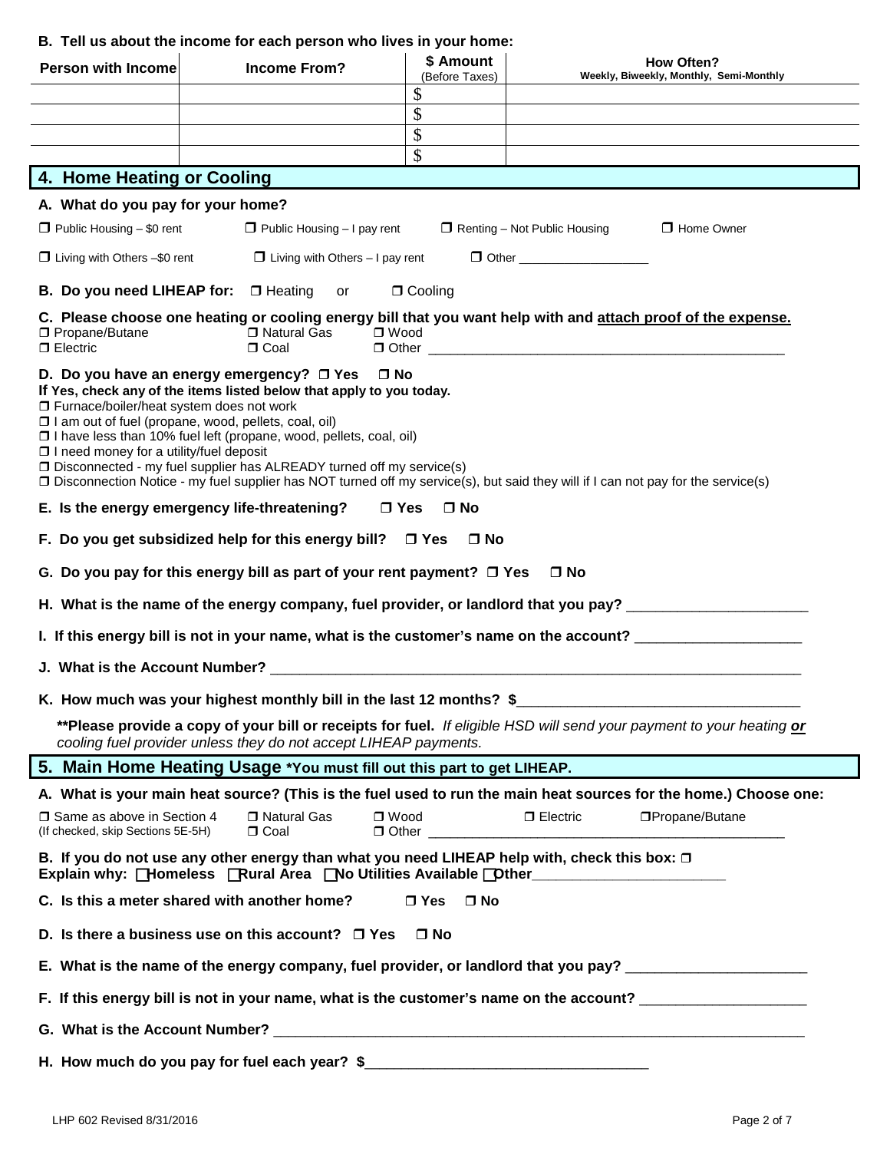### **B. Tell us about the income for each person who lives in your home:**

| Person with Income                                                                                                                                     | <b>Income From?</b>                                                                                                                                                                                                                                                                | \$ Amount<br>(Before Taxes)<br>$\mathcal{S}$ | <b>How Often?</b><br>Weekly, Biweekly, Monthly, Semi-Monthly                                                                       |
|--------------------------------------------------------------------------------------------------------------------------------------------------------|------------------------------------------------------------------------------------------------------------------------------------------------------------------------------------------------------------------------------------------------------------------------------------|----------------------------------------------|------------------------------------------------------------------------------------------------------------------------------------|
|                                                                                                                                                        |                                                                                                                                                                                                                                                                                    | $\mathbb{S}$                                 |                                                                                                                                    |
|                                                                                                                                                        |                                                                                                                                                                                                                                                                                    | \$                                           |                                                                                                                                    |
|                                                                                                                                                        |                                                                                                                                                                                                                                                                                    | \$                                           |                                                                                                                                    |
| 4. Home Heating or Cooling                                                                                                                             |                                                                                                                                                                                                                                                                                    |                                              |                                                                                                                                    |
| A. What do you pay for your home?                                                                                                                      |                                                                                                                                                                                                                                                                                    |                                              |                                                                                                                                    |
| $\Box$ Public Housing $-$ \$0 rent                                                                                                                     | $\Box$ Public Housing $-1$ pay rent                                                                                                                                                                                                                                                |                                              | $\Box$ Renting – Not Public Housing<br>□ Home Owner                                                                                |
| $\Box$ Living with Others $-\$0$ rent                                                                                                                  | $\Box$ Living with Others $-1$ pay rent                                                                                                                                                                                                                                            |                                              | $\Box$ Other $\Box$                                                                                                                |
| B. Do you need LIHEAP for:  D Heating                                                                                                                  | or                                                                                                                                                                                                                                                                                 | $\Box$ Cooling                               |                                                                                                                                    |
| □ Propane/Butane<br>$\Box$ Electric                                                                                                                    | □ Natural Gas<br>$\Box$ Wood<br>$\Box$ Coal                                                                                                                                                                                                                                        |                                              | C. Please choose one heating or cooling energy bill that you want help with and attach proof of the expense.                       |
| □ Furnace/boiler/heat system does not work<br>□ I am out of fuel (propane, wood, pellets, coal, oil)<br>$\Box$ I need money for a utility/fuel deposit | D. Do you have an energy emergency? $\Box$ Yes $\Box$ No<br>If Yes, check any of the items listed below that apply to you today.<br>□ I have less than 10% fuel left (propane, wood, pellets, coal, oil)<br>□ Disconnected - my fuel supplier has ALREADY turned off my service(s) |                                              | □ Disconnection Notice - my fuel supplier has NOT turned off my service(s), but said they will if I can not pay for the service(s) |
|                                                                                                                                                        | E. Is the energy emergency life-threatening?                                                                                                                                                                                                                                       | □ Yes □ No                                   |                                                                                                                                    |
|                                                                                                                                                        | F. Do you get subsidized help for this energy bill? $\Box$ Yes $\Box$ No                                                                                                                                                                                                           |                                              |                                                                                                                                    |
|                                                                                                                                                        | G. Do you pay for this energy bill as part of your rent payment? $\Box$ Yes                                                                                                                                                                                                        |                                              | $\Box$ No                                                                                                                          |
|                                                                                                                                                        |                                                                                                                                                                                                                                                                                    |                                              | H. What is the name of the energy company, fuel provider, or landlord that you pay? ______________________                         |
|                                                                                                                                                        |                                                                                                                                                                                                                                                                                    |                                              | I. If this energy bill is not in your name, what is the customer's name on the account? ______________________                     |
|                                                                                                                                                        |                                                                                                                                                                                                                                                                                    |                                              |                                                                                                                                    |
|                                                                                                                                                        |                                                                                                                                                                                                                                                                                    |                                              | K. How much was your highest monthly bill in the last 12 months? \$                                                                |
|                                                                                                                                                        | cooling fuel provider unless they do not accept LIHEAP payments.                                                                                                                                                                                                                   |                                              | **Please provide a copy of your bill or receipts for fuel. If eligible HSD will send your payment to your heating or               |
|                                                                                                                                                        | 5. Main Home Heating Usage *You must fill out this part to get LIHEAP.                                                                                                                                                                                                             |                                              |                                                                                                                                    |
|                                                                                                                                                        |                                                                                                                                                                                                                                                                                    |                                              | A. What is your main heat source? (This is the fuel used to run the main heat sources for the home.) Choose one:                   |
| □ Same as above in Section 4<br>(If checked, skip Sections 5E-5H)                                                                                      | □ Natural Gas<br>$\Box$ Wood<br>$\Box$ Coal                                                                                                                                                                                                                                        |                                              | $\Box$ Electric<br>□Propane/Butane                                                                                                 |
|                                                                                                                                                        | B. If you do not use any other energy than what you need LIHEAP help with, check this box: $\Box$                                                                                                                                                                                  |                                              | Explain why: Homeless Rural Area No Utilities Available Dther___________________                                                   |
|                                                                                                                                                        | C. Is this a meter shared with another home?                                                                                                                                                                                                                                       | $\Box$ Yes $\Box$ No                         |                                                                                                                                    |
|                                                                                                                                                        | D. Is there a business use on this account? $\Box$ Yes                                                                                                                                                                                                                             | $\square$ No                                 |                                                                                                                                    |
|                                                                                                                                                        |                                                                                                                                                                                                                                                                                    |                                              | E. What is the name of the energy company, fuel provider, or landlord that you pay? ______________________                         |
|                                                                                                                                                        |                                                                                                                                                                                                                                                                                    |                                              | F. If this energy bill is not in your name, what is the customer's name on the account? __________________                         |
|                                                                                                                                                        |                                                                                                                                                                                                                                                                                    |                                              |                                                                                                                                    |
|                                                                                                                                                        | H. How much do you pay for fuel each year? \$                                                                                                                                                                                                                                      |                                              |                                                                                                                                    |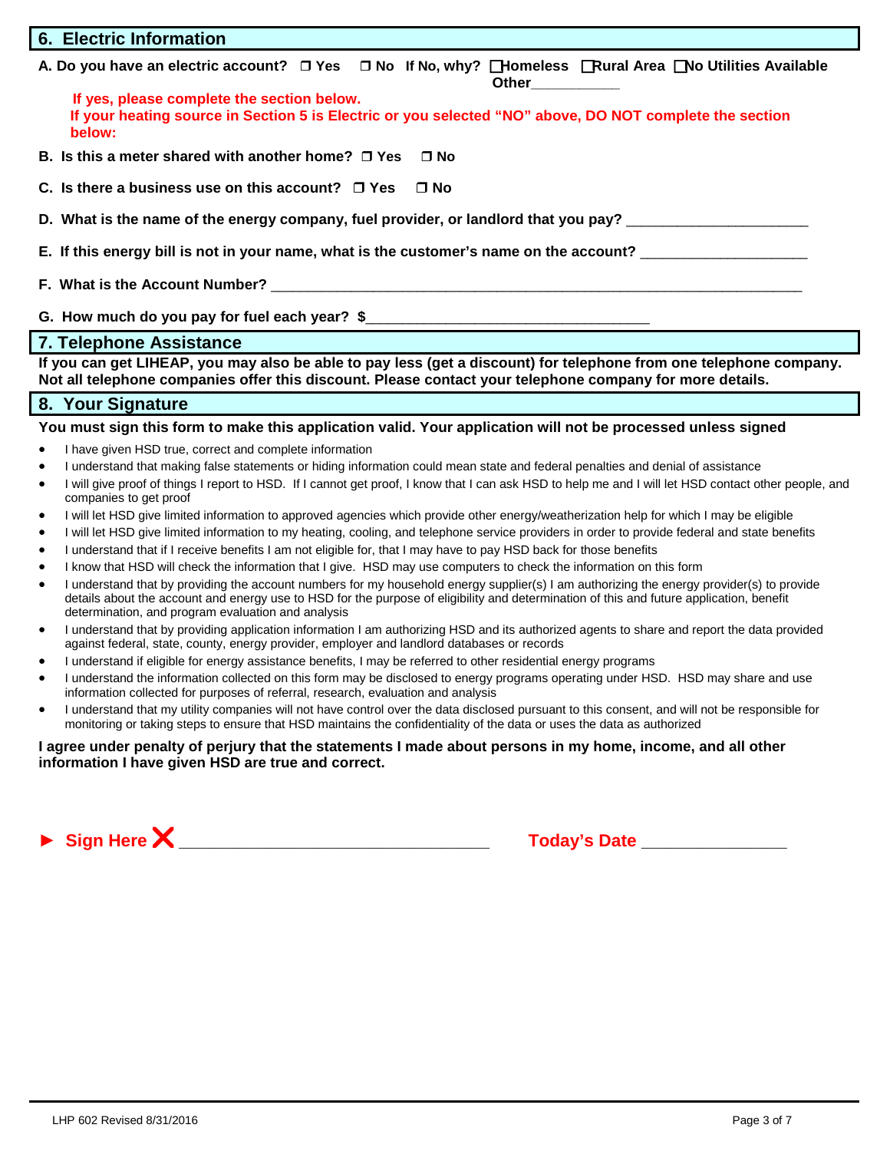#### **6. Electric Information**

**A. Do you have an electric account? Yes No If No, why? Homeless Rural Area No Utilities Available Other\_\_\_\_\_\_\_\_\_\_\_** 

**If yes, please complete the section below. If your heating source in Section 5 is Electric or you selected "NO" above, DO NOT complete the section below:**

- **B.** Is this a meter shared with another home? □ Yes □ No
- **C. Is there a business use on this account? Yes No**
- **D. What is the name of the energy company, fuel provider, or landlord that you pay?** \_\_\_\_\_\_\_\_\_\_\_\_\_\_\_\_\_\_\_\_\_\_\_\_\_
- **E.** If this energy bill is not in your name, what is the customer's name on the account?
- **F. What is the Account Number?** \_\_\_\_\_\_\_\_\_\_\_\_\_\_\_\_\_\_\_\_\_\_\_\_\_\_\_\_\_\_\_\_\_\_\_\_\_\_\_\_\_\_\_\_\_\_\_\_\_\_\_\_\_\_\_\_\_\_\_\_\_\_\_\_\_\_\_\_\_\_\_\_\_
- G. How much do you pay for fuel each year? \$

#### **7. Telephone Assistance**

**If you can get LIHEAP, you may also be able to pay less (get a discount) for telephone from one telephone company. Not all telephone companies offer this discount. Please contact your telephone company for more details.**

#### **8. Your Signature**

#### **You must sign this form to make this application valid. Your application will not be processed unless signed**

- I have given HSD true, correct and complete information
- I understand that making false statements or hiding information could mean state and federal penalties and denial of assistance
- I will give proof of things I report to HSD. If I cannot get proof, I know that I can ask HSD to help me and I will let HSD contact other people, and companies to get proof
- I will let HSD give limited information to approved agencies which provide other energy/weatherization help for which I may be eligible
- I will let HSD give limited information to my heating, cooling, and telephone service providers in order to provide federal and state benefits
- I understand that if I receive benefits I am not eligible for, that I may have to pay HSD back for those benefits
- I know that HSD will check the information that I give. HSD may use computers to check the information on this form
- I understand that by providing the account numbers for my household energy supplier(s) I am authorizing the energy provider(s) to provide details about the account and energy use to HSD for the purpose of eligibility and determination of this and future application, benefit determination, and program evaluation and analysis
- I understand that by providing application information I am authorizing HSD and its authorized agents to share and report the data provided against federal, state, county, energy provider, employer and landlord databases or records
- I understand if eligible for energy assistance benefits, I may be referred to other residential energy programs
- I understand the information collected on this form may be disclosed to energy programs operating under HSD. HSD may share and use information collected for purposes of referral, research, evaluation and analysis
- I understand that my utility companies will not have control over the data disclosed pursuant to this consent, and will not be responsible for monitoring or taking steps to ensure that HSD maintains the confidentiality of the data or uses the data as authorized

#### **I agree under penalty of perjury that the statements I made about persons in my home, income, and all other information I have given HSD are true and correct.**

**►** Sign Here  $\mathsf{X}$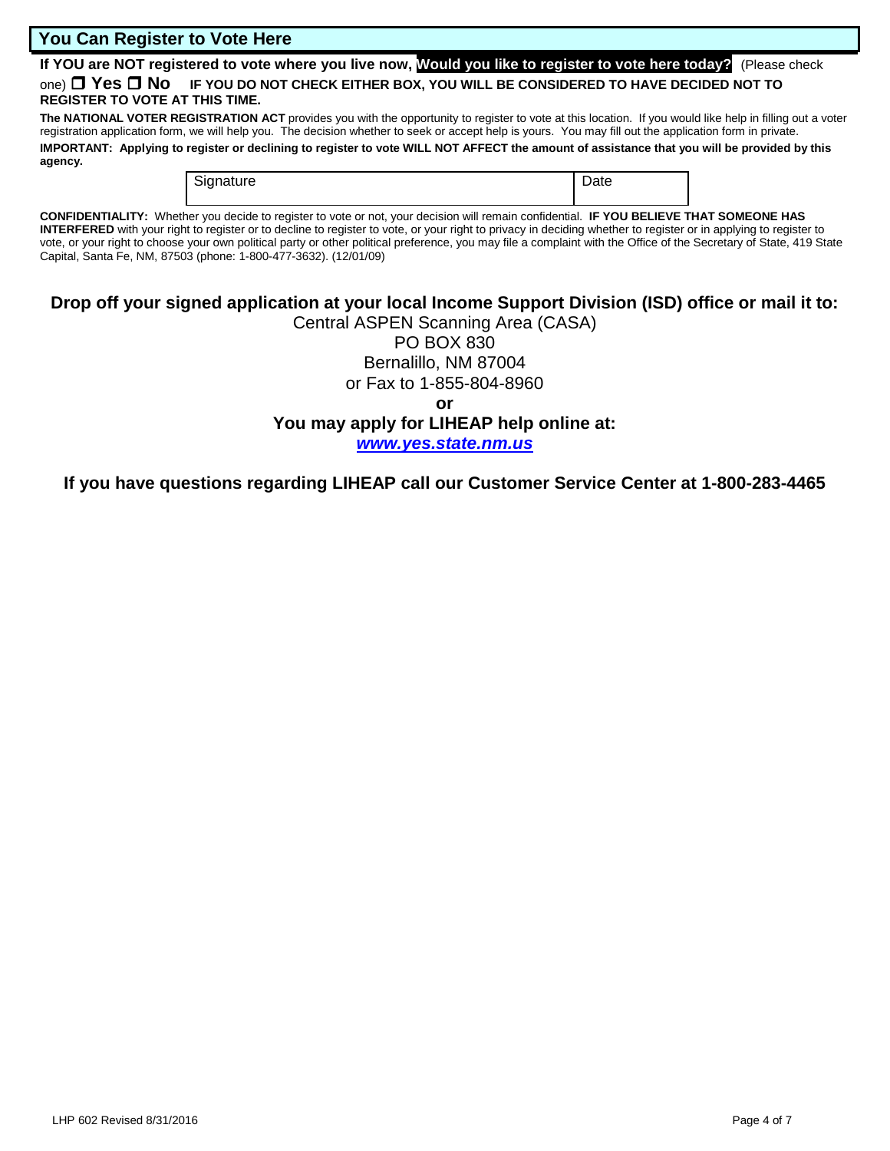#### **You Can Register to Vote Here**

**If YOU are NOT registered to vote where you live now, Would you like to register to vote here today?** (Please check one) **Yes No IF YOU DO NOT CHECK EITHER BOX, YOU WILL BE CONSIDERED TO HAVE DECIDED NOT TO REGISTER TO VOTE AT THIS TIME.**

The NATIONAL VOTER REGISTRATION ACT provides you with the opportunity to register to vote at this location. If you would like help in filling out a voter registration application form, we will help you. The decision whether to seek or accept help is yours. You may fill out the application form in private.

**IMPORTANT: Applying to register or declining to register to vote WILL NOT AFFECT the amount of assistance that you will be provided by this agency.** 

| Signature | -<br>Date |
|-----------|-----------|
|           |           |

**CONFIDENTIALITY:** Whether you decide to register to vote or not, your decision will remain confidential. **IF YOU BELIEVE THAT SOMEONE HAS INTERFERED** with your right to register or to decline to register to vote, or your right to privacy in deciding whether to register or in applying to register to vote, or your right to choose your own political party or other political preference, you may file a complaint with the Office of the Secretary of State, 419 State Capital, Santa Fe, NM, 87503 (phone: 1-800-477-3632). (12/01/09)

## **Drop off your signed application at your local Income Support Division (ISD) office or mail it to:**

Central ASPEN Scanning Area (CASA) PO BOX 830 Bernalillo, NM 87004 or Fax to 1-855-804-8960 **or You may apply for LIHEAP help online at:** *[www.yes.state.nm.us](http://www.yes.state.nm.us/)*

**If you have questions regarding LIHEAP call our Customer Service Center at 1-800-283-4465**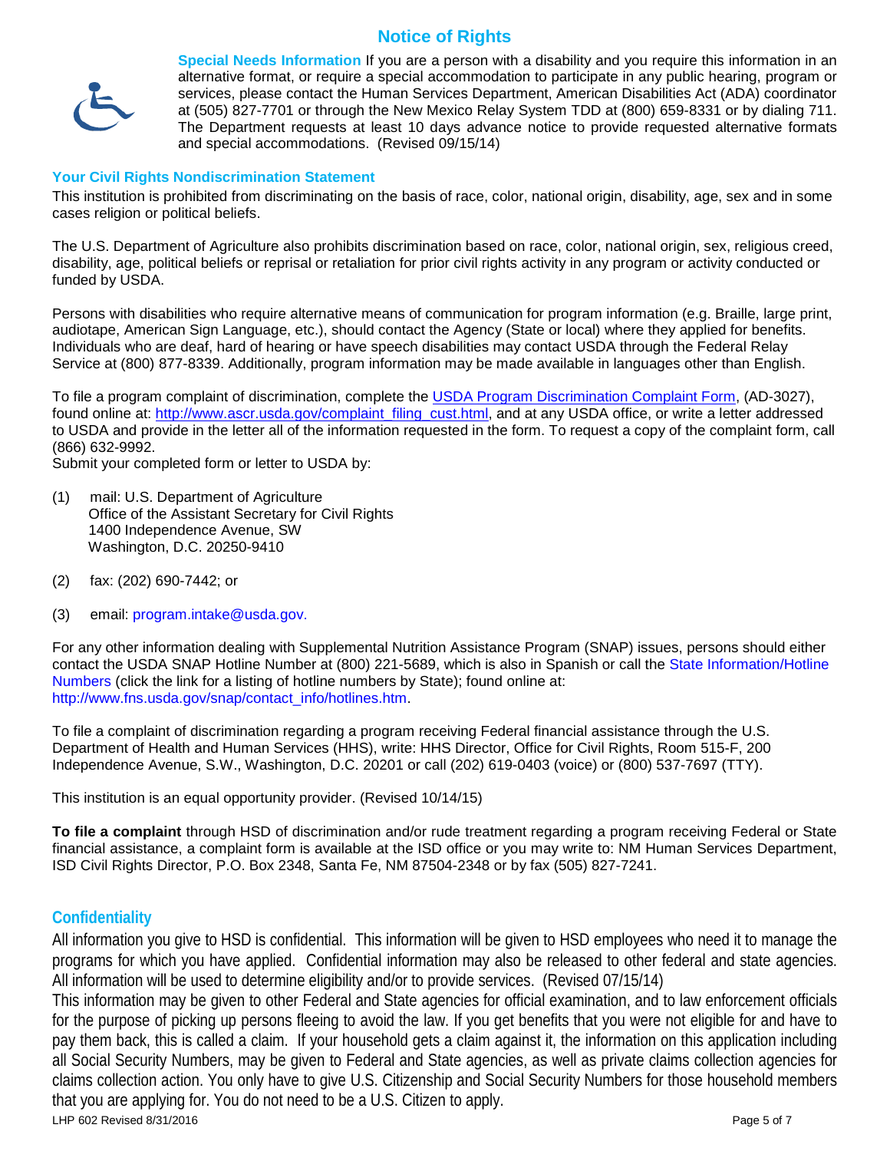## **Notice of Rights**



**Special Needs Information** If you are a person with a disability and you require this information in an alternative format, or require a special accommodation to participate in any public hearing, program or services, please contact the Human Services Department, American Disabilities Act (ADA) coordinator at (505) 827-7701 or through the New Mexico Relay System TDD at (800) 659-8331 or by dialing 711. The Department requests at least 10 days advance notice to provide requested alternative formats and special accommodations. (Revised 09/15/14)

#### **Your Civil Rights Nondiscrimination Statement**

This institution is prohibited from discriminating on the basis of race, color, national origin, disability, age, sex and in some cases religion or political beliefs.

The U.S. Department of Agriculture also prohibits discrimination based on race, color, national origin, sex, religious creed, disability, age, political beliefs or reprisal or retaliation for prior civil rights activity in any program or activity conducted or funded by USDA.

Persons with disabilities who require alternative means of communication for program information (e.g. Braille, large print, audiotape, American Sign Language, etc.), should contact the Agency (State or local) where they applied for benefits. Individuals who are deaf, hard of hearing or have speech disabilities may contact USDA through the Federal Relay Service at (800) 877-8339. Additionally, program information may be made available in languages other than English.

To file a program complaint of discrimination, complete the USDA Program Discrimination Complaint Form, (AD-3027), found online at: [http://www.ascr.usda.gov/complaint\\_filing\\_cust.html,](http://www.ascr.usda.gov/complaint_filing_cust.html) and at any USDA office, or write a letter addressed to USDA and provide in the letter all of the information requested in the form. To request a copy of the complaint form, call (866) 632-9992.

Submit your completed form or letter to USDA by:

- (1) mail: U.S. Department of Agriculture Office of the Assistant Secretary for Civil Rights 1400 Independence Avenue, SW Washington, D.C. 20250-9410
- (2) fax: (202) 690-7442; or
- (3) email: program.intake@usda.gov.

For any other information dealing with Supplemental Nutrition Assistance Program (SNAP) issues, persons should either contact the USDA SNAP Hotline Number at (800) 221-5689, which is also in Spanish or call the State Information/Hotline Numbers (click the link for a listing of hotline numbers by State); found online at: http://www.fns.usda.gov/snap/contact\_info/hotlines.htm.

To file a complaint of discrimination regarding a program receiving Federal financial assistance through the U.S. Department of Health and Human Services (HHS), write: HHS Director, Office for Civil Rights, Room 515-F, 200 Independence Avenue, S.W., Washington, D.C. 20201 or call (202) 619-0403 (voice) or (800) 537-7697 (TTY).

This institution is an equal opportunity provider. (Revised 10/14/15)

**To file a complaint** through HSD of discrimination and/or rude treatment regarding a program receiving Federal or State financial assistance, a complaint form is available at the ISD office or you may write to: NM Human Services Department, ISD Civil Rights Director, P.O. Box 2348, Santa Fe, NM 87504-2348 or by fax (505) 827-7241.

#### **Confidentiality**

All information you give to HSD is confidential. This information will be given to HSD employees who need it to manage the programs for which you have applied. Confidential information may also be released to other federal and state agencies. All information will be used to determine eligibility and/or to provide services. (Revised 07/15/14)

LHP 602 Revised 8/31/2016 Page 5 of 7 This information may be given to other Federal and State agencies for official examination, and to law enforcement officials for the purpose of picking up persons fleeing to avoid the law. If you get benefits that you were not eligible for and have to pay them back, this is called a claim. If your household gets a claim against it, the information on this application including all Social Security Numbers, may be given to Federal and State agencies, as well as private claims collection agencies for claims collection action. You only have to give U.S. Citizenship and Social Security Numbers for those household members that you are applying for. You do not need to be a U.S. Citizen to apply.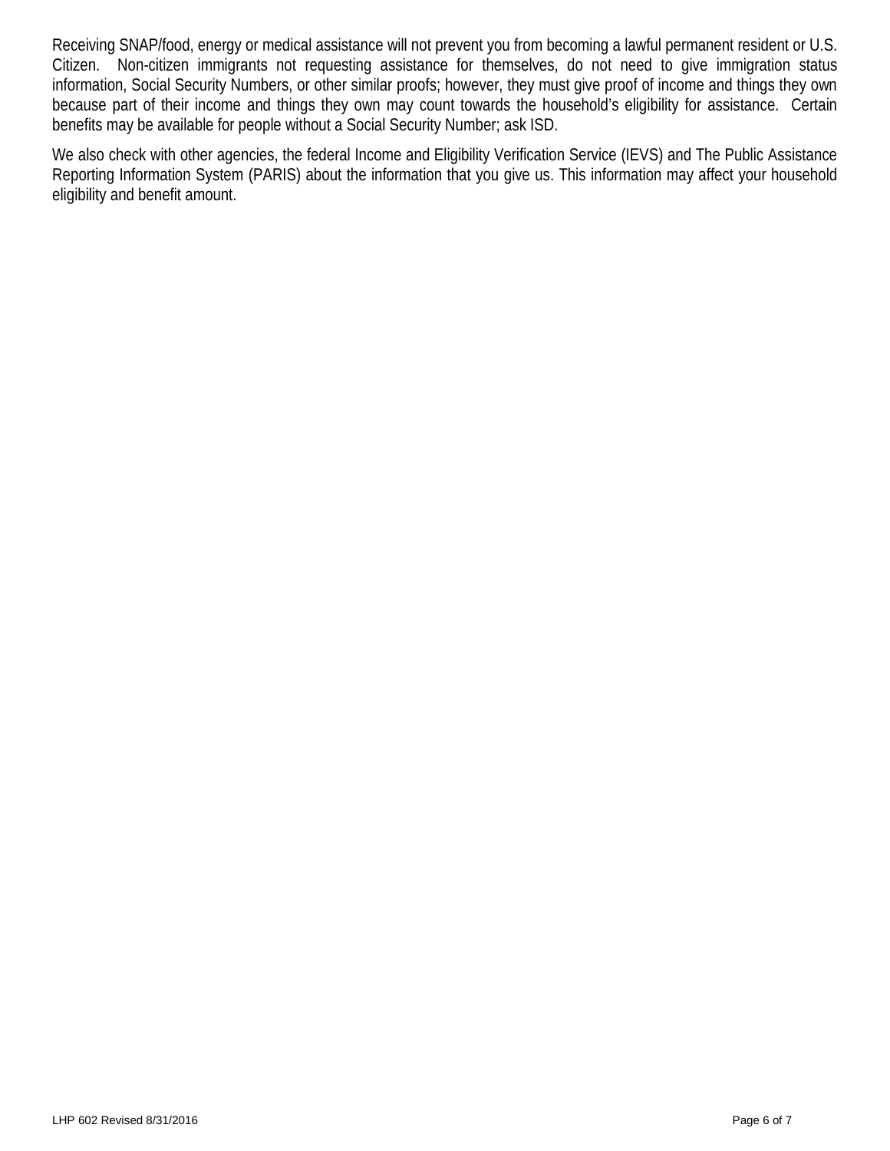Receiving SNAP/food, energy or medical assistance will not prevent you from becoming a lawful permanent resident or U.S. Citizen. Non-citizen immigrants not requesting assistance for themselves, do not need to give immigration status information, Social Security Numbers, or other similar proofs; however, they must give proof of income and things they own because part of their income and things they own may count towards the household's eligibility for assistance. Certain benefits may be available for people without a Social Security Number; ask ISD.

We also check with other agencies, the federal Income and Eligibility Verification Service (IEVS) and The Public Assistance Reporting Information System (PARIS) about the information that you give us. This information may affect your household eligibility and benefit amount.